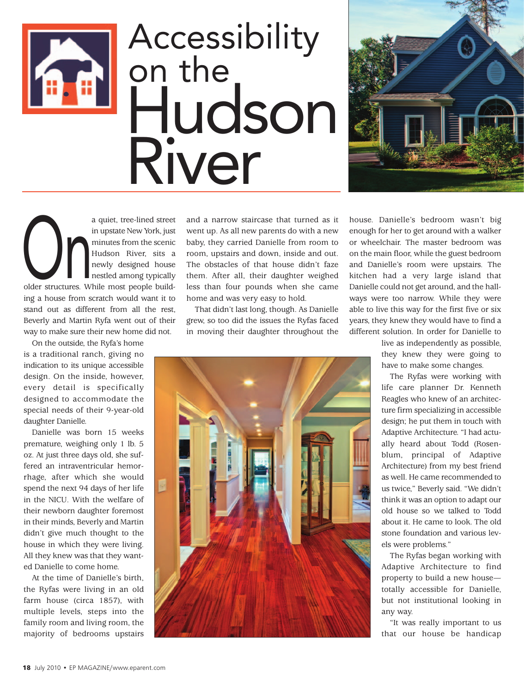

## Accessibility on the Hudson River



a quiet, tree-lined street<br>
in upstate New York, just<br>
minutes from the scenic<br>
Hudson River, sits a<br>
newly designed house<br>
nestled among typically<br>
older structures. While most people buildin upstate New York, just minutes from the scenic Hudson River, sits a newly designed house nestled among typically ing a house from scratch would want it to stand out as different from all the rest, Beverly and Martin Ryfa went out of their way to make sure their new home did not.

On the outside, the Ryfa's home is a traditional ranch, giving no indication to its unique accessible design. On the inside, however, every detail is specifically designed to accommodate the special needs of their 9-year-old daughter Danielle.

Danielle was born 15 weeks premature, weighing only 1 lb. 5 oz. At just three days old, she suffered an intraventricular hemorrhage, after which she would spend the next 94 days of her life in the NICU. With the welfare of their newborn daughter foremost in their minds, Beverly and Martin didn't give much thought to the house in which they were living. All they knew was that they wanted Danielle to come home.

At the time of Danielle's birth, the Ryfas were living in an old farm house (circa 1857), with multiple levels, steps into the family room and living room, the majority of bedrooms upstairs and a narrow staircase that turned as it went up. As all new parents do with a new baby, they carried Danielle from room to room, upstairs and down, inside and out. The obstacles of that house didn't faze them. After all, their daughter weighed less than four pounds when she came home and was very easy to hold.

That didn't last long, though. As Danielle grew, so too did the issues the Ryfas faced in moving their daughter throughout the



house. Danielle's bedroom wasn't big enough for her to get around with a walker or wheelchair. The master bedroom was on the main floor, while the guest bedroom and Danielle's room were upstairs. The kitchen had a very large island that Danielle could not get around, and the hallways were too narrow. While they were able to live this way for the first five or six years, they knew they would have to find a different solution. In order for Danielle to

> live as independently as possible, they knew they were going to have to make some changes.

> The Ryfas were working with life care planner Dr. Kenneth Reagles who knew of an architecture firm specializing in accessible design; he put them in touch with Adaptive Architecture. "I had actually heard about Todd (Rosenblum, principal of Adaptive Architecture) from my best friend as well. He came recommended to us twice," Beverly said. "We didn't think it was an option to adapt our old house so we talked to Todd about it. He came to look. The old stone foundation and various levels were problems."

> The Ryfas began working with Adaptive Architecture to find property to build a new house totally accessible for Danielle, but not institutional looking in any way.

> "It was really important to us that our house be handicap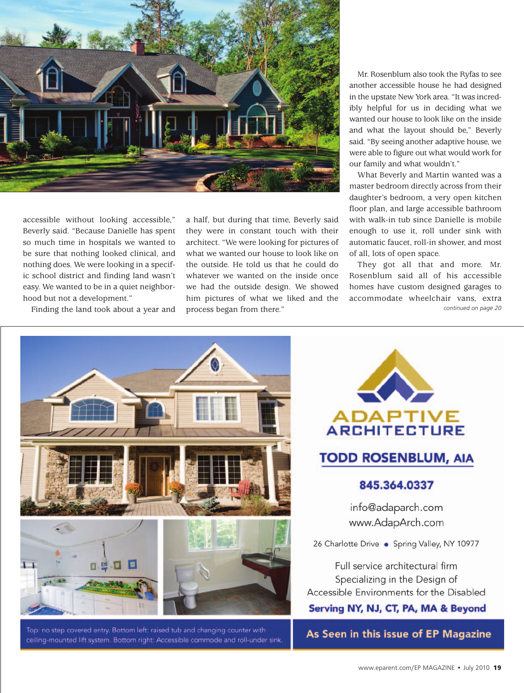

accessible without looking accessible," Beverly said. "Because Danielle has spent so much time in hospitals we wanted to be sure that nothing looked clinical, and nothing does. We were looking in a specific school district and finding land wasn't easy. We wanted to be in a quiet neighborhood but not a development."

Finding the land took about a year and

a half, but during that time, Beverly said they were in constant touch with their architect. "We were looking for pictures of what we wanted our house to look like on the outside. He told us that he could do whatever we wanted on the inside once we had the outside design. We showed him pictures of what we liked and the process began from there."

Mr. Rosenblum also took the Ryfas to see another accessible house he had designed in the upstate New York area. "It was incredibly helpful for us in deciding what we wanted our house to look like on the inside and what the layout should be," Beverly said. "By seeing another adaptive house, we were able to figure out what would work for our family and what wouldn't."

What Beverly and Martin wanted was a master bedroom directly across from their daughter's bedroom, a very open kitchen floor plan, and large accessible bathroom with walk-in tub since Danielle is mobile enough to use it, roll under sink with automatic faucet, roll-in shower, and most of all, lots of open space.

They got all that and more. Mr. Rosenblum said all of his accessible homes have custom designed garages to accommodate wheelchair vans, extra *continued on page 20*



Top: no step covered entry. Bottom left: raised tub and changing counter with ceiling-mounted lift system. Bottom right: Accessible commode and roll-under sink



As Seen in this issue of EP Magazine